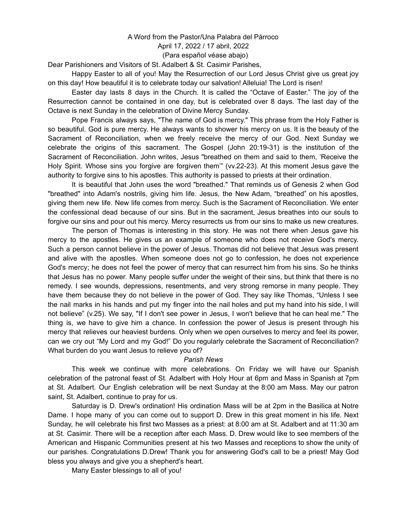## A Word from the Pastor/Una Palabra del Párroco April 17, 2022 / 17 abril, 2022 (Para español véase abajo)

Dear Parishioners and Visitors of St. Adalbert & St. Casimir Parishes,

Happy Easter to all of you! May the Resurrection of our Lord Jesus Christ give us great joy on this day! How beautiful it is to celebrate today our salvation! Alleluia! The Lord is risen!

Easter day lasts 8 days in the Church. It is called the "Octave of Easter." The joy of the Resurrection cannot be contained in one day, but is celebrated over 8 days. The last day of the Octave is next Sunday in the celebration of Divine Mercy Sunday.

Pope Francis always says, "The name of God is mercy." This phrase from the Holy Father is so beautiful. God is pure mercy. He always wants to shower his mercy on us. It is the beauty of the Sacrament of Reconciliation, when we freely receive the mercy of our God. Next Sunday we celebrate the origins of this sacrament. The Gospel (John 20:19-31) is the institution of the Sacrament of Reconciliation. John writes, Jesus "breathed on them and said to them, 'Receive the Holy Spirit. Whose sins you forgive are forgiven them'" (vv.22-23). At this moment Jesus gave the authority to forgive sins to his apostles. This authority is passed to priests at their ordination.

It is beautiful that John uses the word "breathed." That reminds us of Genesis 2 when God "breathed" into Adam's nostrils, giving him life. Jesus, the New Adam, "breathed" on his apostles, giving them new life. New life comes from mercy. Such is the Sacrament of Reconciliation. We enter the confessional dead because of our sins. But in the sacrament, Jesus breathes into our souls to forgive our sins and pour out his mercy. Mercy resurrects us from our sins to make us new creatures.

The person of Thomas is interesting in this story. He was not there when Jesus gave his mercy to the apostles. He gives us an example of someone who does not receive God's mercy. Such a person cannot believe in the power of Jesus. Thomas did not believe that Jesus was present and alive with the apostles. When someone does not go to confession, he does not experience God's mercy; he does not feel the power of mercy that can resurrect him from his sins. So he thinks that Jesus has no power. Many people suffer under the weight of their sins, but think that there is no remedy. I see wounds, depressions, resentments, and very strong remorse in many people. They have them because they do not believe in the power of God. They say like Thomas, "Unless I see the nail marks in his hands and put my finger into the nail holes and put my hand into his side, I will not believe" (v.25). We say, "If I don't see power in Jesus, I won't believe that he can heal me." The thing is, we have to give him a chance. In confession the power of Jesus is present through his mercy that relieves our heaviest burdens. Only when we open ourselves to mercy and feel its power, can we cry out "My Lord and my God!" Do you regularly celebrate the Sacrament of Reconciliation? What burden do you want Jesus to relieve you of?

## *Parish News*

This week we continue with more celebrations. On Friday we will have our Spanish celebration of the patronal feast of St. Adalbert with Holy Hour at 6pm and Mass in Spanish at 7pm at St. Adalbert. Our English celebration will be next Sunday at the 8:00 am Mass. May our patron saint, St. Adalbert, continue to pray for us.

Saturday is D. Drew's ordination! His ordination Mass will be at 2pm in the Basilica at Notre Dame. I hope many of you can come out to support D. Drew in this great moment in his life. Next Sunday, he will celebrate his first two Masses as a priest: at 8:00 am at St. Adalbert and at 11:30 am at St. Casimir. There will be a reception after each Mass. D. Drew would like to see members of the American and Hispanic Communities present at his two Masses and receptions to show the unity of our parishes. Congratulations D.Drew! Thank you for answering God's call to be a priest! May God bless you always and give you a shepherd's heart.

Many Easter blessings to all of you!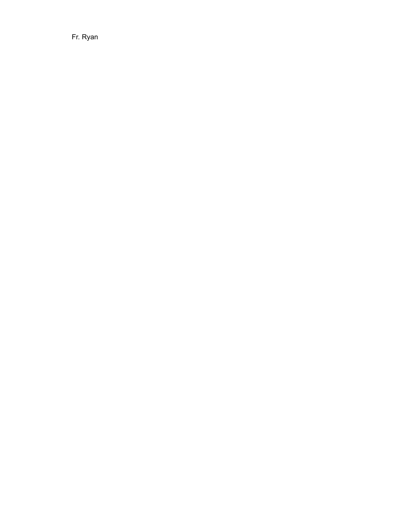Fr. Ryan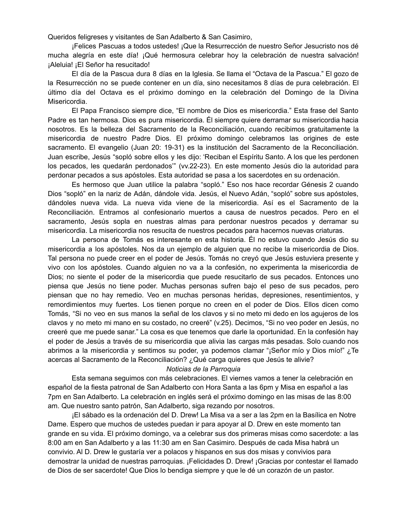Queridos feligreses y visitantes de San Adalberto & San Casimiro,

¡Felices Pascuas a todos ustedes! ¡Que la Resurrección de nuestro Señor Jesucristo nos dé mucha alegría en este día! ¡Qué hermosura celebrar hoy la celebración de nuestra salvación! ¡Aleluia! ¡El Señor ha resucitado!

El día de la Pascua dura 8 días en la Iglesia. Se llama el "Octava de la Pascua." El gozo de la Resurrección no se puede contener en un día, sino necesitamos 8 días de pura celebración. El último día del Octava es el próximo domingo en la celebración del Domingo de la Divina Misericordia.

El Papa Francisco siempre dice, "El nombre de Dios es misericordia." Esta frase del Santo Padre es tan hermosa. Dios es pura misericordia. Él siempre quiere derramar su misericordia hacia nosotros. Es la belleza del Sacramento de la Reconciliación, cuando recibimos gratuitamente la misericordia de nuestro Padre Dios. El próximo domingo celebramos las origines de este sacramento. El evangelio (Juan 20: 19-31) es la institución del Sacramento de la Reconciliación. Juan escribe, Jesús "sopló sobre ellos y les dijo: 'Reciban el Espíritu Santo. A los que les perdonen los pecados, les quedarán perdonados'" (vv.22-23). En este momento Jesús dio la autoridad para perdonar pecados a sus apóstoles. Esta autoridad se pasa a los sacerdotes en su ordenación.

Es hermoso que Juan utilice la palabra "sopló." Eso nos hace recordar Génesis 2 cuando Dios "sopló" en la nariz de Adán, dándole vida. Jesús, el Nuevo Adán, "sopló" sobre sus apóstoles, dándoles nueva vida. La nueva vida viene de la misericordia. Así es el Sacramento de la Reconciliación. Entramos al confesionario muertos a causa de nuestros pecados. Pero en el sacramento, Jesús sopla en nuestras almas para perdonar nuestros pecados y derramar su misericordia. La misericordia nos resucita de nuestros pecados para hacernos nuevas criaturas.

La persona de Tomás es interesante en esta historia. Él no estuvo cuando Jesús dio su misericordia a los apóstoles. Nos da un ejemplo de alguien que no recibe la misericordia de Dios. Tal persona no puede creer en el poder de Jesús. Tomás no creyó que Jesús estuviera presente y vivo con los apóstoles. Cuando alguien no va a la confesión, no experimenta la misericordia de Dios; no siente el poder de la misericordia que puede resucitarlo de sus pecados. Entonces uno piensa que Jesús no tiene poder. Muchas personas sufren bajo el peso de sus pecados, pero piensan que no hay remedio. Veo en muchas personas heridas, depresiones, resentimientos, y remordimientos muy fuertes. Los tienen porque no creen en el poder de Dios. Ellos dicen como Tomás, "Si no veo en sus manos la señal de los clavos y si no meto mi dedo en los agujeros de los clavos y no meto mi mano en su costado, no creeré" (v.25). Decimos, "Si no veo poder en Jesús, no creeré que me puede sanar." La cosa es que tenemos que darle la oportunidad. En la confesión hay el poder de Jesús a través de su misericordia que alivia las cargas más pesadas. Solo cuando nos abrimos a la misericordia y sentimos su poder, ya podemos clamar "¡Señor mío y Dios mío!" ¿Te acercas al Sacramento de la Reconciliación? ¿Qué carga quieres que Jesús te alivie?

## *Noticias de la Parroquia*

Esta semana seguimos con más celebraciones. El viernes vamos a tener la celebración en español de la fiesta patronal de San Adalberto con Hora Santa a las 6pm y Misa en español a las 7pm en San Adalberto. La celebración en inglés será el próximo domingo en las misas de las 8:00 am. Que nuestro santo patrón, San Adalberto, siga rezando por nosotros.

¡El sábado es la ordenación del D. Drew! La Misa va a ser a las 2pm en la Basílica en Notre Dame. Espero que muchos de ustedes puedan ir para apoyar al D. Drew en este momento tan grande en su vida. El próximo domingo, va a celebrar sus dos primeras misas como sacerdote: a las 8:00 am en San Adalberto y a las 11:30 am en San Casimiro. Después de cada Misa habrá un convivio. Al D. Drew le gustaría ver a polacos y hispanos en sus dos misas y convivios para demostrar la unidad de nuestras parroquias. ¡Felicidades D. Drew! ¡Gracias por contestar el llamado de Dios de ser sacerdote! Que Dios lo bendiga siempre y que le dé un corazón de un pastor.